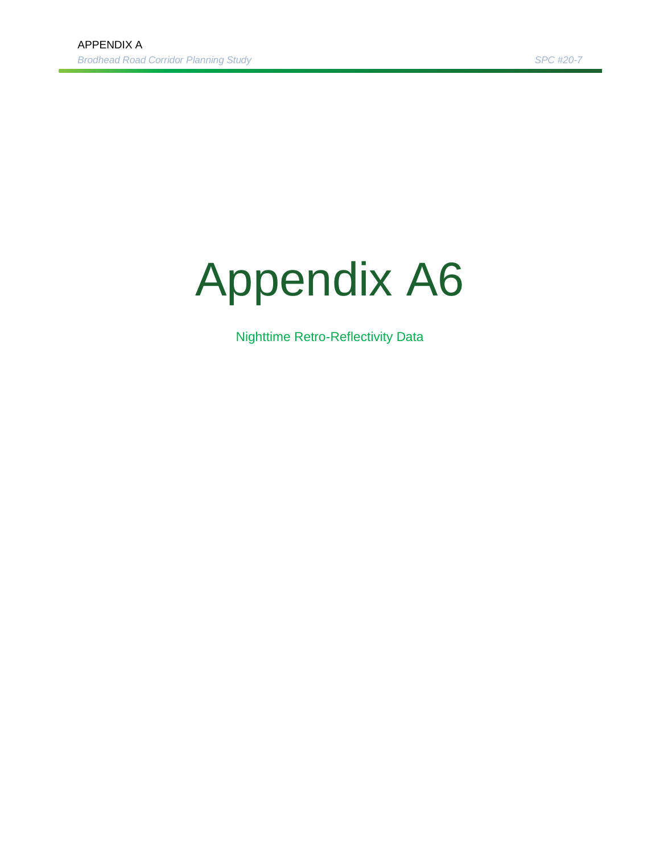## Appendix A6

Nighttime Retro-Reflectivity Data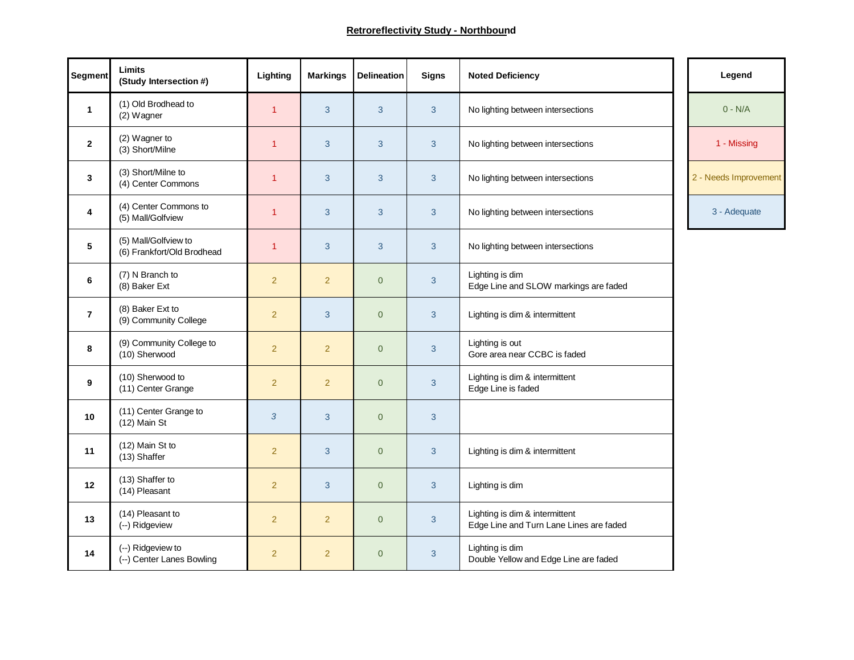| Segment        | <b>Limits</b><br>(Study Intersection #)            | Lighting       | <b>Markings</b> | <b>Delineation</b> | <b>Signs</b> | <b>Noted Deficiency</b>                                                   | Legend                |
|----------------|----------------------------------------------------|----------------|-----------------|--------------------|--------------|---------------------------------------------------------------------------|-----------------------|
| $\mathbf{1}$   | (1) Old Brodhead to<br>(2) Wagner                  | $\mathbf{1}$   | $\mathbf{3}$    | 3                  | 3            | No lighting between intersections                                         | $0 - N/A$             |
| $\mathbf{2}$   | (2) Wagner to<br>(3) Short/Milne                   | $\mathbf{1}$   | 3               | 3                  | 3            | No lighting between intersections                                         | 1 - Missing           |
| 3              | (3) Short/Milne to<br>(4) Center Commons           | $\overline{1}$ | $\mathbf{3}$    | 3                  | 3            | No lighting between intersections                                         | 2 - Needs Improvement |
| 4              | (4) Center Commons to<br>(5) Mall/Golfview         | $\overline{1}$ | $\mathbf{3}$    | 3                  | 3            | No lighting between intersections                                         | 3 - Adequate          |
| 5              | (5) Mall/Golfview to<br>(6) Frankfort/Old Brodhead | 1              | $\mathbf{3}$    | 3                  | 3            | No lighting between intersections                                         |                       |
| 6              | (7) N Branch to<br>(8) Baker Ext                   | $\overline{2}$ | $\overline{2}$  | $\Omega$           | 3            | Lighting is dim<br>Edge Line and SLOW markings are faded                  |                       |
| $\overline{7}$ | (8) Baker Ext to<br>(9) Community College          | $\overline{2}$ | 3               | $\Omega$           | 3            | Lighting is dim & intermittent                                            |                       |
| 8              | (9) Community College to<br>(10) Sherwood          | $\overline{2}$ | $\overline{2}$  | $\overline{0}$     | 3            | Lighting is out<br>Gore area near CCBC is faded                           |                       |
| 9              | (10) Sherwood to<br>(11) Center Grange             | $\overline{2}$ | $\overline{2}$  | $\overline{0}$     | 3            | Lighting is dim & intermittent<br>Edge Line is faded                      |                       |
| 10             | (11) Center Grange to<br>$(12)$ Main St            | 3              | 3               | $\overline{0}$     | 3            |                                                                           |                       |
| 11             | (12) Main St to<br>(13) Shaffer                    | $\overline{2}$ | 3               | $\overline{0}$     | 3            | Lighting is dim & intermittent                                            |                       |
| 12             | (13) Shaffer to<br>(14) Pleasant                   | $\overline{2}$ | 3               | $\overline{0}$     | 3            | Lighting is dim                                                           |                       |
| 13             | (14) Pleasant to<br>(--) Ridgeview                 | $\overline{2}$ | $\overline{2}$  | $\overline{0}$     | 3            | Lighting is dim & intermittent<br>Edge Line and Turn Lane Lines are faded |                       |
| 14             | (--) Ridgeview to<br>(--) Center Lanes Bowling     | $\overline{2}$ | $\overline{2}$  | $\overline{0}$     | 3            | Lighting is dim<br>Double Yellow and Edge Line are faded                  |                       |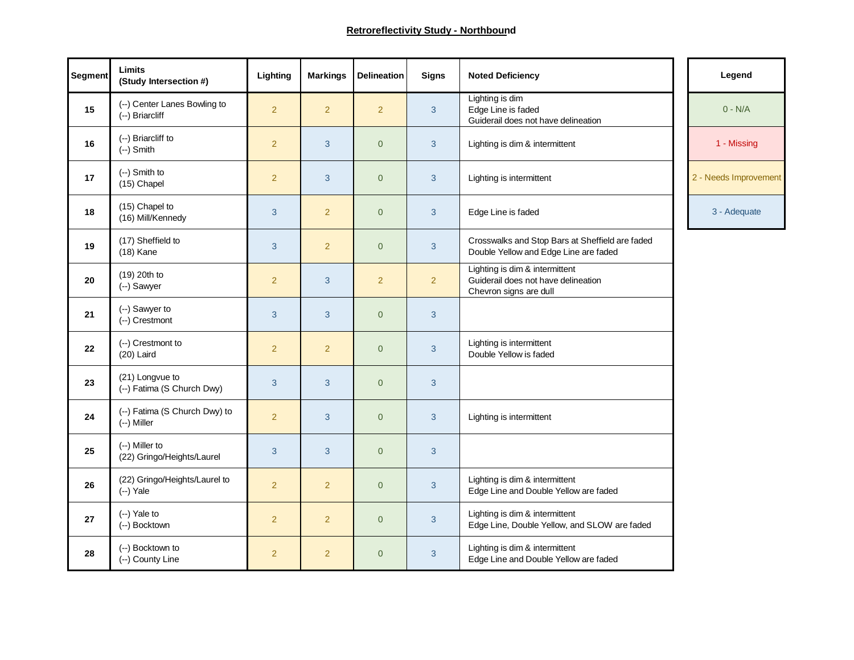| Segment | <b>Limits</b><br>(Study Intersection #)         | Lighting       | <b>Markings</b> | <b>Delineation</b> | <b>Signs</b>   | <b>Noted Deficiency</b>                                                                         | Legend                |
|---------|-------------------------------------------------|----------------|-----------------|--------------------|----------------|-------------------------------------------------------------------------------------------------|-----------------------|
| 15      | (--) Center Lanes Bowling to<br>(--) Briarcliff | $\overline{2}$ | $\overline{2}$  | $\overline{2}$     | 3              | Lighting is dim<br>Edge Line is faded<br>Guiderail does not have delineation                    | $0 - N/A$             |
| 16      | (--) Briarcliff to<br>$(-)$ Smith               | $\overline{2}$ | 3               | $\overline{0}$     | 3              | Lighting is dim & intermittent                                                                  | 1 - Missing           |
| 17      | (--) Smith to<br>(15) Chapel                    | $\overline{2}$ | 3               | $\overline{0}$     | 3              | Lighting is intermittent                                                                        | 2 - Needs Improvement |
| 18      | (15) Chapel to<br>(16) Mill/Kennedy             | 3              | $\overline{2}$  | $\overline{0}$     | 3              | Edge Line is faded                                                                              | 3 - Adequate          |
| 19      | (17) Sheffield to<br>$(18)$ Kane                | 3              | $\overline{2}$  | $\overline{0}$     | 3              | Crosswalks and Stop Bars at Sheffield are faded<br>Double Yellow and Edge Line are faded        |                       |
| 20      | (19) 20th to<br>(--) Sawyer                     | $\overline{2}$ | 3               | $\overline{2}$     | $\overline{2}$ | Lighting is dim & intermittent<br>Guiderail does not have delineation<br>Chevron signs are dull |                       |
| 21      | (--) Sawyer to<br>(--) Crestmont                | 3              | $\mathbf{3}$    | $\overline{0}$     | 3              |                                                                                                 |                       |
| 22      | (--) Crestmont to<br>$(20)$ Laird               | $\overline{2}$ | $\overline{2}$  | $\overline{0}$     | 3              | Lighting is intermittent<br>Double Yellow is faded                                              |                       |
| 23      | (21) Longvue to<br>(--) Fatima (S Church Dwy)   | 3              | 3               | $\overline{0}$     | 3              |                                                                                                 |                       |
| 24      | (--) Fatima (S Church Dwy) to<br>(--) Miller    | $\overline{2}$ | 3               | $\overline{0}$     | 3              | Lighting is intermittent                                                                        |                       |
| 25      | (--) Miller to<br>(22) Gringo/Heights/Laurel    | 3              | 3               | $\overline{0}$     | 3              |                                                                                                 |                       |
| 26      | (22) Gringo/Heights/Laurel to<br>$(-)$ Yale     | $\overline{2}$ | $\overline{2}$  | $\overline{0}$     | 3              | Lighting is dim & intermittent<br>Edge Line and Double Yellow are faded                         |                       |
| 27      | (--) Yale to<br>(--) Bocktown                   | $\overline{2}$ | $\overline{2}$  | $\mathbf 0$        | 3              | Lighting is dim & intermittent<br>Edge Line, Double Yellow, and SLOW are faded                  |                       |
| 28      | (--) Bocktown to<br>(--) County Line            | $\overline{2}$ | $\overline{2}$  | $\overline{0}$     | 3              | Lighting is dim & intermittent<br>Edge Line and Double Yellow are faded                         |                       |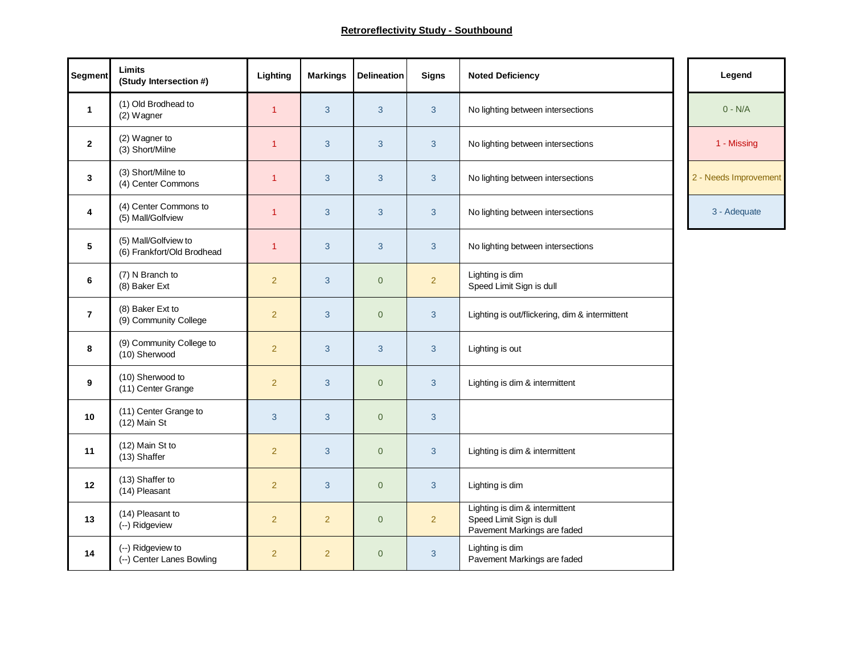| <b>Segment</b>          | Limits<br>(Study Intersection #)                   | Lighting       | <b>Markings</b> | <b>Delineation</b> | <b>Signs</b>   | <b>Noted Deficiency</b>                                                                   | Legend                |
|-------------------------|----------------------------------------------------|----------------|-----------------|--------------------|----------------|-------------------------------------------------------------------------------------------|-----------------------|
| $\mathbf{1}$            | (1) Old Brodhead to<br>(2) Wagner                  | $\overline{1}$ | 3               | 3                  | 3              | No lighting between intersections                                                         | $0 - N/A$             |
| $\mathbf{2}$            | (2) Wagner to<br>(3) Short/Milne                   | $\overline{1}$ | 3               | 3                  | 3              | No lighting between intersections                                                         | 1 - Missing           |
| 3                       | (3) Short/Milne to<br>(4) Center Commons           | $\overline{1}$ | 3               | 3                  | 3              | No lighting between intersections                                                         | 2 - Needs Improvement |
| $\overline{\mathbf{4}}$ | (4) Center Commons to<br>(5) Mall/Golfview         | $\overline{1}$ | 3               | 3                  | 3              | No lighting between intersections                                                         | 3 - Adequate          |
| 5                       | (5) Mall/Golfview to<br>(6) Frankfort/Old Brodhead | $\overline{1}$ | 3               | 3                  | 3              | No lighting between intersections                                                         |                       |
| 6                       | (7) N Branch to<br>(8) Baker Ext                   | $\overline{2}$ | 3               | $\overline{0}$     | $\overline{2}$ | Lighting is dim<br>Speed Limit Sign is dull                                               |                       |
| $\overline{7}$          | (8) Baker Ext to<br>(9) Community College          | $\overline{2}$ | 3               | $\mathbf 0$        | 3              | Lighting is out/flickering, dim & intermittent                                            |                       |
| 8                       | (9) Community College to<br>(10) Sherwood          | $\overline{2}$ | 3               | $\mathbf{3}$       | 3              | Lighting is out                                                                           |                       |
| 9                       | (10) Sherwood to<br>(11) Center Grange             | $\overline{2}$ | 3               | $\overline{0}$     | 3              | Lighting is dim & intermittent                                                            |                       |
| 10                      | (11) Center Grange to<br>$(12)$ Main St            | 3              | 3               | $\mathbf{0}$       | 3              |                                                                                           |                       |
| 11                      | (12) Main St to<br>(13) Shaffer                    | $\overline{2}$ | 3               | $\overline{0}$     | 3              | Lighting is dim & intermittent                                                            |                       |
| 12                      | (13) Shaffer to<br>(14) Pleasant                   | $\overline{2}$ | 3               | $\overline{0}$     | 3              | Lighting is dim                                                                           |                       |
| 13                      | (14) Pleasant to<br>(--) Ridgeview                 | $\overline{2}$ | $\overline{2}$  | $\overline{0}$     | $\overline{2}$ | Lighting is dim & intermittent<br>Speed Limit Sign is dull<br>Pavement Markings are faded |                       |
| 14                      | (--) Ridgeview to<br>(--) Center Lanes Bowling     | $\overline{2}$ | $\overline{2}$  | $\overline{0}$     | 3              | Lighting is dim<br>Pavement Markings are faded                                            |                       |